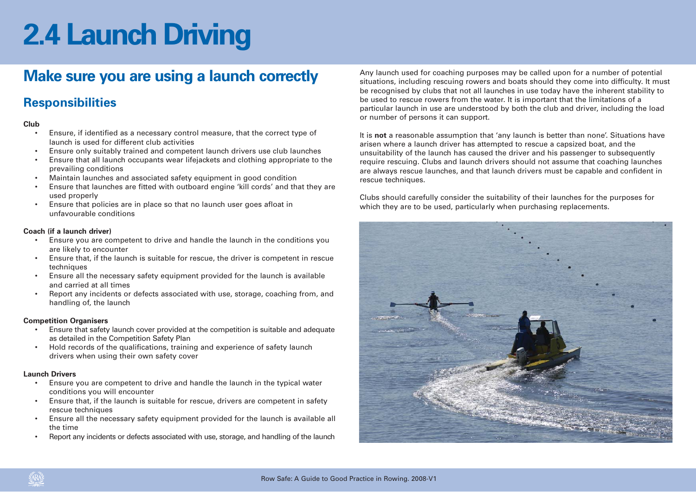## **Make sure you are using a launch correctly**

### **Responsibilities**

### **Club**

- • Ensure, if identified as a necessary control measure, that the correct type of launch is used for different club activities
- •Ensure only suitably trained and competent launch drivers use club launches
- • Ensure that all launch occupants wear lifejackets and clothing appropriate to the prevailing conditions
- •Maintain launches and associated safety equipment in good condition
- • Ensure that launches are fitted with outboard engine 'kill cords' and that they are used properly
- • Ensure that policies are in place so that no launch user goes afloat in unfavourable conditions

### **Coach (if a launch driver)**

- • Ensure you are competent to drive and handle the launch in the conditions you are likely to encounter
- • Ensure that, if the launch is suitable for rescue, the driver is competent in rescue techniques
- • Ensure all the necessary safety equipment provided for the launch is available and carried at all times
- • Report any incidents or defects associated with use, storage, coaching from, and handling of, the launch

### **Competition Organisers**

- • Ensure that safety launch cover provided at the competition is suitable and adequate as detailed in the Competition Safety Plan
- • Hold records of the qualifications, training and experience of safety launch drivers when using their own safety cover

### **Launch Drivers**

- • Ensure you are competent to drive and handle the launch in the typical water conditions you will encounter
- • Ensure that, if the launch is suitable for rescue, drivers are competent in safety rescue techniques
- • Ensure all the necessary safety equipment provided for the launch is available all the time
- •Report any incidents or defects associated with use, storage, and handling of the launch

Any launch used for coaching purposes may be called upon for a number of potential situations, including rescuing rowers and boats should they come into difficulty. It must be recognised by clubs that not all launches in use today have the inherent stability to be used to rescue rowers from the water. It is important that the limitations of a particular launch in use are understood by both the club and driver, including the load or number of persons it can support.

It is **not** a reasonable assumption that 'any launch is better than none'. Situations have arisen where a launch driver has attempted to rescue a capsized boat, and the unsuitability of the launch has caused the driver and his passenger to subsequently require rescuing. Clubs and launch drivers should not assume that coaching launches are always rescue launches, and that launch drivers must be capable and confident in rescue techniques.

Clubs should carefully consider the suitability of their launches for the purposes for which they are to be used, particularly when purchasing replacements.

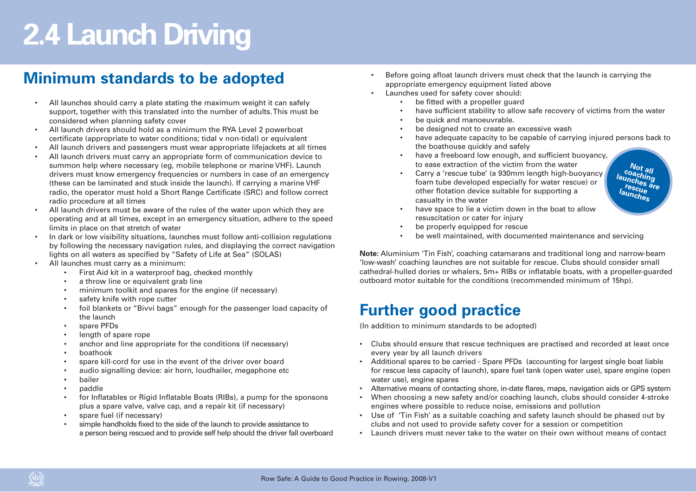## **Minimum standards to be adopted**

- • All launches should carry a plate stating the maximum weight it can safely support, together with this translated into the number of adults. This must be considered when planning safety cover
- • All launch drivers should hold as a minimum the RYA Level 2 powerboat certificate (appropriate to water conditions; tidal v non-tidal) or equivalent
- •All launch drivers and passengers must wear appropriate lifejackets at all times
- • All launch drivers must carry an appropriate form of communication device to summon help where necessary (eg, mobile telephone or marine VHF). Launch drivers must know emergency frequencies or numbers in case of an emergency (these can be laminated and stuck inside the launch). If carrying a marine VHF radio, the operator must hold a Short Range Certificate (SRC) and follow correct radio procedure at all times
- • All launch drivers must be aware of the rules of the water upon which they are operating and at all times, except in an emergency situation, adhere to the speed limits in place on that stretch of water
- • In dark or low visibility situations, launches must follow anti-collision regulations by following the necessary navigation rules, and displaying the correct navigation lights on all waters as specified by "Safety of Life at Sea" (SOLAS)
- • All launches must carry as a minimum:
	- •First Aid kit in a waterproof bag, checked monthly
	- •a throw line or equivalent grab line
	- •minimum toolkit and spares for the engine (if necessary)
	- •safety knife with rope cutter
	- • foil blankets or "Bivvi bags" enough for the passenger load capacity of the launch
	- •spare PFDs
	- •length of spare rope
	- •anchor and line appropriate for the conditions (if necessary)
	- •boathook
	- •spare kill-cord for use in the event of the driver over board
	- •audio signalling device: air horn, loudhailer, megaphone etc
	- •bailer
	- •paddle
	- • for Inflatables or Rigid Inflatable Boats (RIBs), a pump for the sponsons plus a spare valve, valve cap, and a repair kit (if necessary)
	- •spare fuel (if necessary)
	- • simple handholds fixed to the side of the launch to provide assistance to a person being rescued and to provide self help should the driver fall overboard
- • Before going afloat launch drivers must check that the launch is carrying the appropriate emergency equipment listed above
- •Launches used for safety cover should:

•

- •be fitted with a propeller guard
- •have sufficient stability to allow safe recovery of victims from the water
- be quick and manoeuvrable.
- •be designed not to create an excessive wash
- • have adequate capacity to be capable of carrying injured persons back to the boathouse quickly and safely
- • have a freeboard low enough, and sufficient buoyancy, to ease extraction of the victim from the water
- • Carry a 'rescue tube' (a 930mm length high-buoyancy foam tube developed especially for water rescue) or other flotation device suitable for supporting a casualty in the water

**Not all coaching launches are rescue launches** 

- • have space to lie a victim down in the boat to allow resuscitation or cater for injury
- •be properly equipped for rescue
- •be well maintained, with documented maintenance and servicing

**Note:** Aluminium 'Tin Fish', coaching catamarans and traditional long and narrow-beam 'low-wash' coaching launches are not suitable for rescue. Clubs should consider small cathedral-hulled dories or whalers, 5m+ RIBs or inflatable boats, with a propeller-guarded outboard motor suitable for the conditions (recommended minimum of 15hp).

### **Further good practice**

(In addition to minimum standards to be adopted)

- Clubs should ensure that rescue techniques are practised and recorded at least once every year by all launch drivers
- • Additional spares to be carried - Spare PFDs (accounting for largest single boat liable for rescue less capacity of launch), spare fuel tank (open water use), spare engine (open water use), engine spares
- •Alternative means of contacting shore, in-date flares, maps, navigation aids or GPS system
- • When choosing a new safety and/or coaching launch, clubs should consider 4-stroke engines where possible to reduce noise, emissions and pollution
- Use of 'Tin Fish' as a suitable coaching and safety launch should be phased out by clubs and not used to provide safety cover for a session or competition
- •Launch drivers must never take to the water on their own without means of contact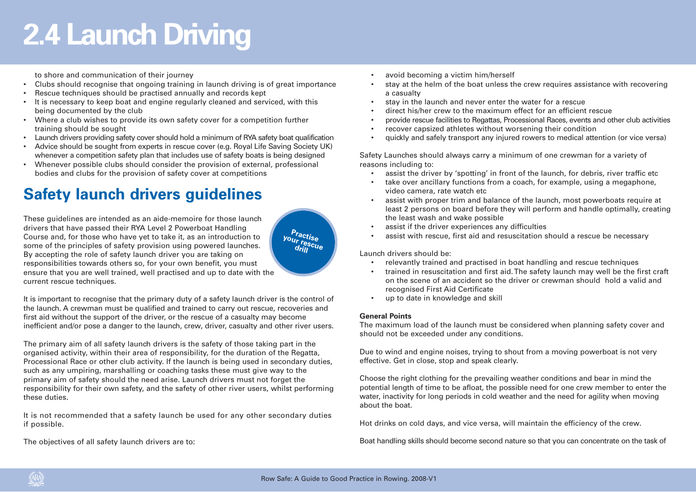to shore and communication of their journey

- Clubs should recognise that ongoing training in launch driving is of great importance
- •Rescue techniques should be practised annually and records kept
- It is necessary to keep boat and engine regularly cleaned and serviced, with this being documented by the club
- Where a club wishes to provide its own safety cover for a competition further training should be sought
- •Launch drivers providing safety cover should hold a minimum of RYA safety boat qualification
- • Advice should be sought from experts in rescue cover (e.g. Royal Life Saving Society UK) whenever a competition safety plan that includes use of safety boats is being designed
- • Whenever possible clubs should consider the provision of external, professional bodies and clubs for the provision of safety cover at competitions

## **Safety launch drivers guidelines**

These guidelines are intended as an aide-memoire for those launch drivers that have passed their RYA Level 2 Powerboat Handling Course and, for those who have yet to take it, as an introduction to some of the principles of safety provision using powered launches. By accepting the role of safety launch driver you are taking on responsibilities towards others so, for your own benefit, you must ensure that you are well trained, well practised and up to date with the current rescue techniques.

It is important to recognise that the primary duty of a safety launch driver is the control of the launch. A crewman must be qualified and trained to carry out rescue, recoveries and first aid without the support of the driver, or the rescue of a casualty may become inefficient and/or pose a danger to the launch, crew, driver, casualty and other river users.

The primary aim of all safety launch drivers is the safety of those taking part in the organised activity, within their area of responsibility, for the duration of the Regatta, Processional Race or other club activity. If the launch is being used in secondary duties, such as any umpiring, marshalling or coaching tasks these must give way to the primary aim of safety should the need arise. Launch drivers must not forget the responsibility for their own safety, and the safety of other river users, whilst performing these duties.

It is not recommended that a safety launch be used for any other secondary duties if possible.

The objectives of all safety launch drivers are to:

- •avoid becoming a victim him/herself
- • stay at the helm of the boat unless the crew requires assistance with recovering a casualty
- •stay in the launch and never enter the water for a rescue
- •direct his/her crew to the maximum effect for an efficient rescue
- •provide rescue facilities to Regattas, Processional Races, events and other club activities
- •recover capsized athletes without worsening their condition
- •quickly and safely transport any injured rowers to medical attention (or vice versa)

Safety Launches should always carry a minimum of one crewman for a variety of reasons including to:

- •assist the driver by 'spotting' in front of the launch, for debris, river traffic etc
- • take over ancillary functions from a coach, for example, using a megaphone, video camera, rate watch etc
- • assist with proper trim and balance of the launch, most powerboats require at least 2 persons on board before they will perform and handle optimally, creating the least wash and wake possible
- •assist if the driver experiences any difficulties
- •assist with rescue, first aid and resuscitation should a rescue be necessary

Launch drivers should be:

- •relevantly trained and practised in boat handling and rescue techniques
- • trained in resuscitation and first aid. The safety launch may well be the first craft on the scene of an accident so the driver or crewman should hold a valid and recognised First Aid Certificate
- up to date in knowledge and skill

### **General Points**

The maximum load of the launch must be considered when planning safety cover and should not be exceeded under any conditions.

Due to wind and engine noises, trying to shout from a moving powerboat is not very effective. Get in close, stop and speak clearly.

Choose the right clothing for the prevailing weather conditions and bear in mind the potential length of time to be afloat, the possible need for one crew member to enter the water, inactivity for long periods in cold weather and the need for agility when moving about the boat.

Hot drinks on cold days, and vice versa, will maintain the efficiency of the crew.

Boat handling skills should become second nature so that you can concentrate on the task of

**Practise your rescue drill**